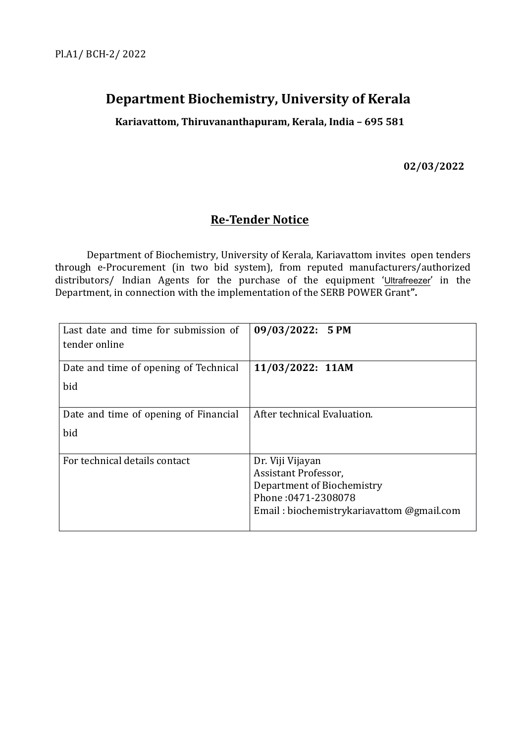# **Department Biochemistry, University of Kerala**

**Kariavattom, Thiruvananthapuram, Kerala, India – 695 581**

**02/03/2022**

# **Re-Tender Notice**

Department of Biochemistry, University of Kerala, Kariavattom invites open tenders through e-Procurement (in two bid system), from reputed manufacturers/authorized distributors/ Indian Agents for the purchase of the equipment 'Ultrafreezer' in the Department, in connection with the implementation of the SERB POWER Grant".

| Last date and time for submission of<br>tender online | 09/03/2022: 5 PM                                                                                                                           |
|-------------------------------------------------------|--------------------------------------------------------------------------------------------------------------------------------------------|
| Date and time of opening of Technical<br>bid          | 11/03/2022: 11AM                                                                                                                           |
| Date and time of opening of Financial<br>bid          | After technical Evaluation.                                                                                                                |
| For technical details contact                         | Dr. Viji Vijayan<br>Assistant Professor,<br>Department of Biochemistry<br>Phone: 0471-2308078<br>Email: biochemistrykariavattom @gmail.com |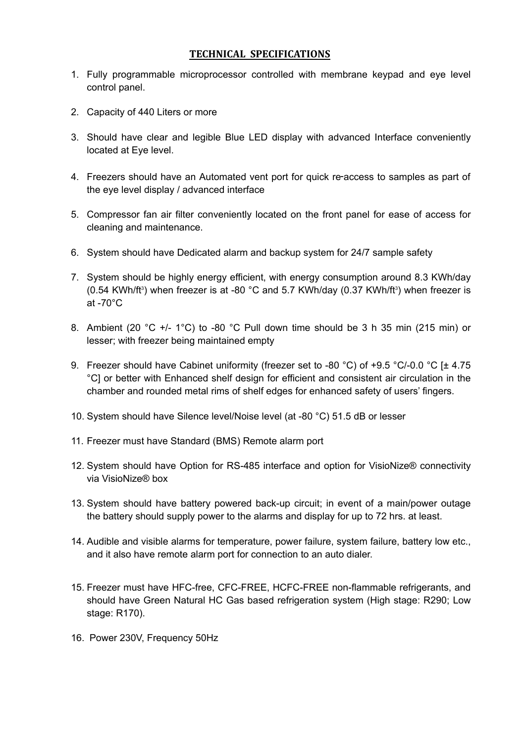#### **TECHNICAL SPECIFICATIONS**

- 1. Fully programmable microprocessor controlled with membrane keypad and eye level control panel.
- 2. Capacity of 440 Liters or more
- 3. Should have clear and legible Blue LED display with advanced Interface conveniently located at Eye level.
- 4. Freezers should have an Automated vent port for quick re-access to samples as part of the eye level display / advanced interface
- 5. Compressor fan air filter conveniently located on the front panel for ease of access for cleaning and maintenance.
- 6. System should have Dedicated alarm and backup system for 24/7 sample safety
- 7. System should be highly energy efficient, with energy consumption around 8.3 KWh/day (0.54 KWh/ft<sup>3</sup>) when freezer is at -80 °C and 5.7 KWh/day (0.37 KWh/ft<sup>3</sup>) when freezer is at -70°C
- 8. Ambient (20 °C +/- 1°C) to -80 °C Pull down time should be 3 h 35 min (215 min) or lesser; with freezer being maintained empty
- 9. Freezer should have Cabinet uniformity (freezer set to -80 °C) of +9.5 °C/-0.0 °C [± 4.75 °C] or better with Enhanced shelf design for efficient and consistent air circulation in the chamber and rounded metal rims of shelf edges for enhanced safety of users' fingers.
- 10. System should have Silence level/Noise level (at -80 °C) 51.5 dB or lesser
- 11. Freezer must have Standard (BMS) Remote alarm port
- 12. System should have Option for RS-485 interface and option for VisioNize® connectivity via VisioNize® box
- 13. System should have battery powered back-up circuit; in event of a main/power outage the battery should supply power to the alarms and display for up to 72 hrs. at least.
- 14. Audible and visible alarms for temperature, power failure, system failure, battery low etc., and it also have remote alarm port for connection to an auto dialer.
- 15. Freezer must have HFC-free, CFC-FREE, HCFC-FREE non-flammable refrigerants, and should have Green Natural HC Gas based refrigeration system (High stage: R290; Low stage: R170).
- 16. Power 230V, Frequency 50Hz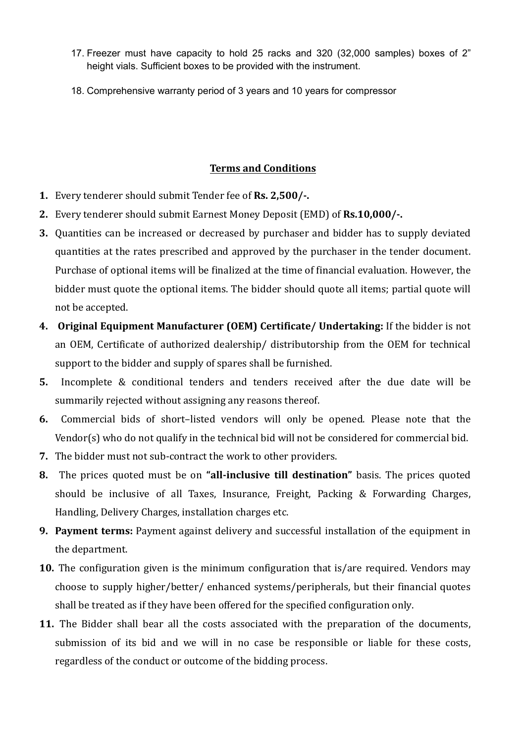- 17. Freezer must have capacity to hold 25 racks and 320 (32,000 samples) boxes of 2" height vials. Sufficient boxes to be provided with the instrument.
- 18. Comprehensive warranty period of 3 years and 10 years for compressor

### **Terms and Conditions**

- **1.** Every tenderer should submit Tender fee of **Rs. 2,500/-.**
- **2.** Every tenderer should submit Earnest Money Deposit (EMD) of **Rs.10,000/-.**
- **3.** Quantities can be increased or decreased by purchaser and bidder has to supply deviated quantities at the rates prescribed and approved by the purchaser in the tender document. Purchase of optional items will be finalized at the time of financial evaluation. However, the bidder must quote the optional items. The bidder should quote all items; partial quote will not be accepted.
- **4. Original Equipment Manufacturer (OEM) Certificate/ Undertaking:** If the bidder is not an OEM, Certificate of authorized dealership/ distributorship from the OEM for technical support to the bidder and supply of spares shall be furnished.
- **5.** Incomplete & conditional tenders and tenders received after the due date will be summarily rejected without assigning any reasons thereof.
- **6.** Commercial bids of short–listed vendors will only be opened. Please note that the Vendor(s) who do not qualify in the technical bid will not be considered for commercial bid.
- **7.** The bidder must not sub-contract the work to other providers.
- **8.** The prices quoted must be on **"all-inclusive till destination"** basis. The prices quoted should be inclusive of all Taxes, Insurance, Freight, Packing & Forwarding Charges, Handling, Delivery Charges, installation charges etc.
- **9. Payment terms:** Payment against delivery and successful installation of the equipment in the department.
- **10.** The configuration given is the minimum configuration that is/are required. Vendors may choose to supply higher/better/ enhanced systems/peripherals, but their financial quotes shall be treated as if they have been offered for the specified configuration only.
- **11.** The Bidder shall bear all the costs associated with the preparation of the documents, submission of its bid and we will in no case be responsible or liable for these costs, regardless of the conduct or outcome of the bidding process.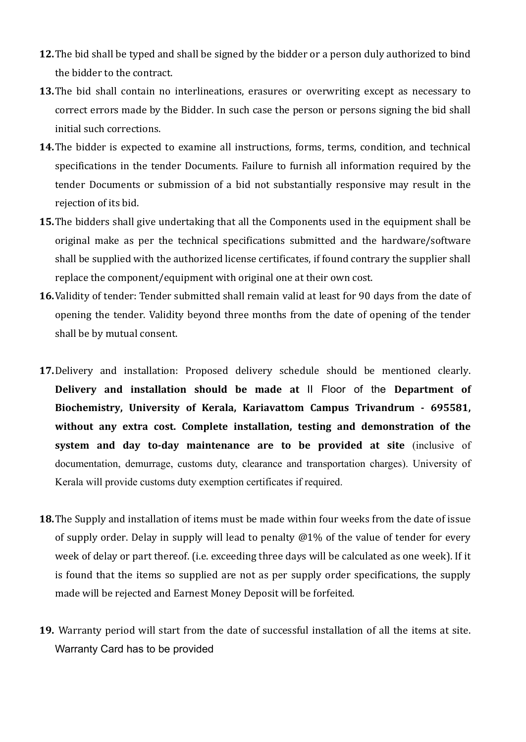- **12.**The bid shall be typed and shall be signed by the bidder or a person duly authorized to bind the bidder to the contract.
- **13.**The bid shall contain no interlineations, erasures or overwriting except as necessary to correct errors made by the Bidder. In such case the person or persons signing the bid shall initial such corrections.
- **14.**The bidder is expected to examine all instructions, forms, terms, condition, and technical specifications in the tender Documents. Failure to furnish all information required by the tender Documents or submission of a bid not substantially responsive may result in the rejection of its bid.
- **15.**The bidders shall give undertaking that all the Components used in the equipment shall be original make as per the technical specifications submitted and the hardware/software shall be supplied with the authorized license certificates, if found contrary the supplier shall replace the component/equipment with original one at their own cost.
- **16.**Validity of tender: Tender submitted shall remain valid at least for 90 days from the date of opening the tender. Validity beyond three months from the date of opening of the tender shall be by mutual consent.
- **17.**Delivery and installation: Proposed delivery schedule should be mentioned clearly. **Delivery and installation should be made at** II Floor of the **Department of Biochemistry, University of Kerala, Kariavattom Campus Trivandrum - 695581, without any extra cost. Complete installation, testing and demonstration of the system and day to-day maintenance are to be provided at site** (inclusive of documentation, demurrage, customs duty, clearance and transportation charges). University of Kerala will provide customs duty exemption certificates if required.
- **18.**The Supply and installation of items must be made within four weeks from the date of issue of supply order. Delay in supply will lead to penalty @1% of the value of tender for every week of delay or part thereof. (i.e. exceeding three days will be calculated as one week). If it is found that the items so supplied are not as per supply order specifications, the supply made will be rejected and Earnest Money Deposit will be forfeited.
- **19.** Warranty period will start from the date of successful installation of all the items at site. Warranty Card has to be provided